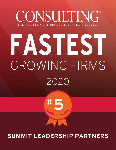## ONSULTING® THE PEOPLE • THE PROFESSION • THE LIFESTYLE

# **FASTEST**  GROWING FIRMS 2020



## **SUMMIT LEADERSHIP PARTNERS**